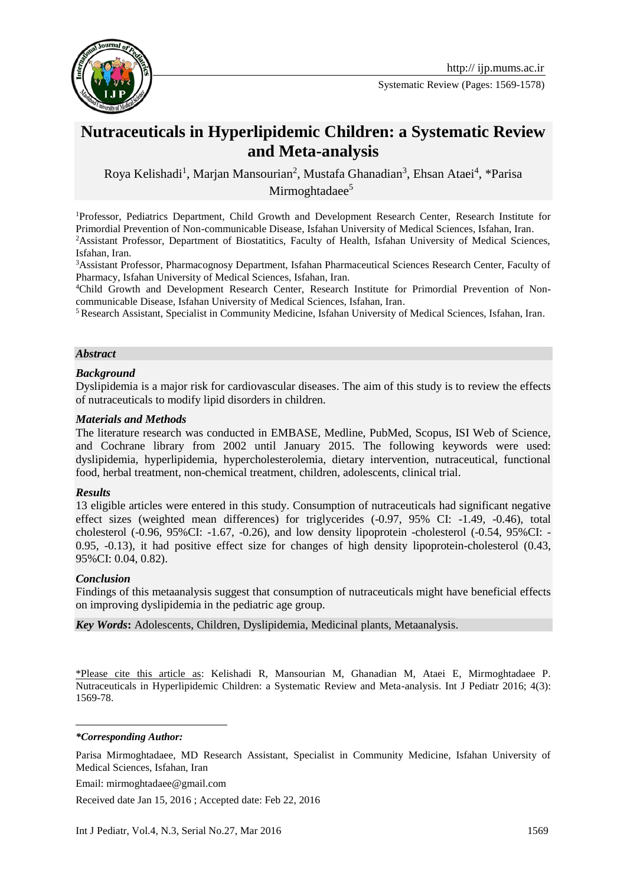

Systematic Review (Pages: 1569-1578)

# **Nutraceuticals in Hyperlipidemic Children: a Systematic Review and Meta-analysis**

Roya Kelishadi<sup>1</sup>, Marjan Mansourian<sup>2</sup>, Mustafa Ghanadian<sup>3</sup>, Ehsan Ataei<sup>4</sup>, \*Parisa Mirmoghtadaee $5$ 

<sup>1</sup>Professor, Pediatrics Department, Child Growth and Development Research Center, Research Institute for Primordial Prevention of Non-communicable Disease, Isfahan University of Medical Sciences, Isfahan, Iran. <sup>2</sup>Assistant Professor, Department of Biostatitics, Faculty of Health, Isfahan University of Medical Sciences, Isfahan, Iran.

<sup>3</sup>Assistant Professor, Pharmacognosy Department, Isfahan Pharmaceutical Sciences Research Center, Faculty of Pharmacy, Isfahan University of Medical Sciences, Isfahan, Iran.

4Child Growth and Development Research Center, Research Institute for Primordial Prevention of Noncommunicable Disease, Isfahan University of Medical Sciences, Isfahan, Iran.

<sup>5</sup> Research Assistant, Specialist in Community Medicine, Isfahan University of Medical Sciences, Isfahan, Iran.

#### *Abstract*

#### *Background*

Dyslipidemia is a major risk for cardiovascular diseases. The aim of this study is to review the effects of nutraceuticals to modify lipid disorders in children.

#### *Materials and Methods*

The literature research was conducted in EMBASE, Medline, PubMed, Scopus, ISI Web of Science, and Cochrane library from 2002 until January 2015. The following keywords were used: dyslipidemia, hyperlipidemia, hypercholesterolemia, dietary intervention, nutraceutical, functional food, herbal treatment, non-chemical treatment, children, adolescents, clinical trial.

#### *Results*

13 eligible articles were entered in this study. Consumption of nutraceuticals had significant negative effect sizes (weighted mean differences) for triglycerides (-0.97, 95% CI: -1.49, -0.46), total cholesterol (-0.96, 95%CI: -1.67, -0.26), and low density lipoprotein -cholesterol (-0.54, 95%CI: - 0.95, -0.13), it had positive effect size for changes of high density lipoprotein-cholesterol (0.43, 95%CI: 0.04, 0.82).

#### *Conclusion*

Findings of this metaanalysis suggest that consumption of nutraceuticals might have beneficial effects on improving dyslipidemia in the pediatric age group.

*Key Words***:** Adolescents, Children, Dyslipidemia, Medicinal plants, Metaanalysis.

\*Please cite this article as: Kelishadi R, Mansourian M, Ghanadian M, Ataei E, Mirmoghtadaee P. Nutraceuticals in Hyperlipidemic Children: a Systematic Review and Meta-analysis. Int J Pediatr 2016; 4(3): 1569-78.

#### *\*Corresponding Author:*

1

Parisa Mirmoghtadaee, MD Research Assistant, Specialist in Community Medicine, Isfahan University of Medical Sciences, Isfahan, Iran

Email: mirmoghtadaee@gmail.com

Received date Jan 15, 2016 ; Accepted date: Feb 22, 2016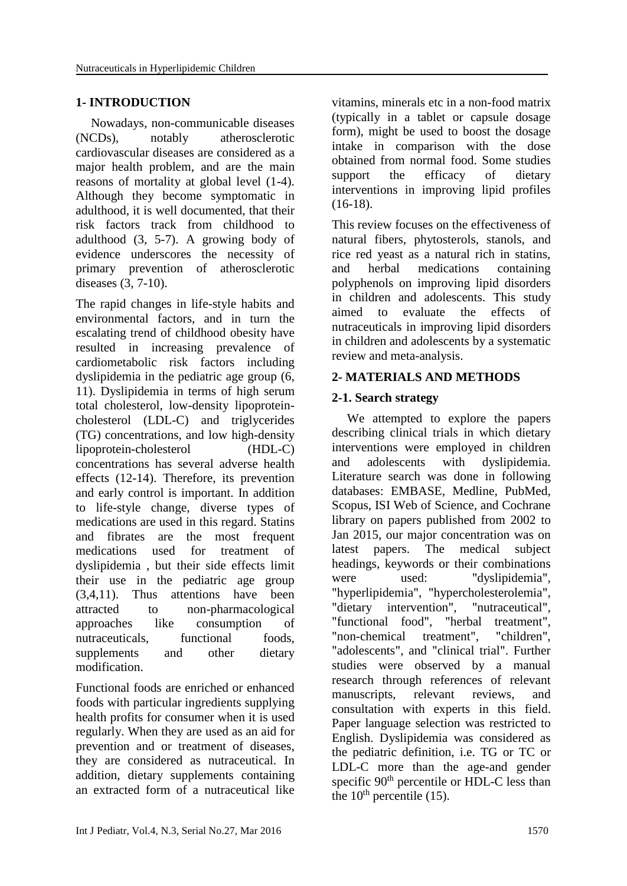### **1- INTRODUCTION**

Nowadays, non-communicable diseases (NCDs), notably atherosclerotic cardiovascular diseases are considered as a major health problem, and are the main reasons of mortality at global level [\(1-4\)](#page-6-0). Although they become symptomatic in adulthood, it is well documented, that their risk factors track from childhood to adulthood [\(3,](#page-7-0) [5-7\)](#page-7-1). A growing body of evidence underscores the necessity of primary prevention of atherosclerotic diseases [\(3,](#page-7-0) [7-10\)](#page-7-2).

The rapid changes in life-style habits and environmental factors, and in turn the escalating trend of childhood obesity have resulted in increasing prevalence of cardiometabolic risk factors including dyslipidemia in the pediatric age group [\(6,](#page-7-3) [11\)](#page-7-4). Dyslipidemia in terms of high serum total cholesterol, low-density lipoproteincholesterol (LDL-C) and triglycerides (TG) concentrations, and low high-density lipoprotein-cholesterol (HDL-C) concentrations has several adverse health effects [\(12-](#page-7-5)14). Therefore, its prevention and early control is important. In addition to life-style change, diverse types of medications are used in this regard. Statins and fibrates are the most frequent medications used for treatment of dyslipidemia , but their side effects limit their use in the pediatric age group (3[,4,](#page-7-6)[11\)](#page-7-4). Thus attentions have been attracted to non-pharmacological approaches like consumption of nutraceuticals, functional foods. supplements and other dietary modification.

Functional foods are enriched or enhanced foods with particular ingredients supplying health profits for consumer when it is used regularly. When they are used as an aid for prevention and or treatment of diseases, they are considered as nutraceutical. In addition, dietary supplements containing an extracted form of a nutraceutical like vitamins, minerals etc in a non-food matrix (typically in a tablet or capsule dosage form), might be used to boost the dosage intake in comparison with the dose obtained from normal food. Some studies support the efficacy of dietary interventions in improving lipid profiles  $(16-18)$ .

This review focuses on the effectiveness of natural fibers, phytosterols, stanols, and rice red yeast as a natural rich in statins, and herbal medications containing polyphenols on improving lipid disorders in children and adolescents. This study aimed to evaluate the effects of nutraceuticals in improving lipid disorders in children and adolescents by a systematic review and meta-analysis.

### **2- MATERIALS AND METHODS**

### **2-1. Search strategy**

We attempted to explore the papers describing clinical trials in which dietary interventions were employed in children and adolescents with dyslipidemia. Literature search was done in following databases: EMBASE, Medline, PubMed, Scopus, ISI Web of Science, and Cochrane library on papers published from 2002 to Jan 2015, our major concentration was on latest papers. The medical subject headings, keywords or their combinations were used: "dyslipidemia", "hyperlipidemia", "hypercholesterolemia", "dietary intervention", "nutraceutical", "functional food", "herbal treatment", "non-chemical treatment", "children", "adolescents", and "clinical trial". Further studies were observed by a manual research through references of relevant manuscripts, relevant reviews, and consultation with experts in this field. Paper language selection was restricted to English. Dyslipidemia was considered as the pediatric definition, i.e. TG or TC or LDL-C more than the age-and gender specific  $90<sup>th</sup>$  percentile or HDL-C less than the  $10<sup>th</sup>$  percentile (15).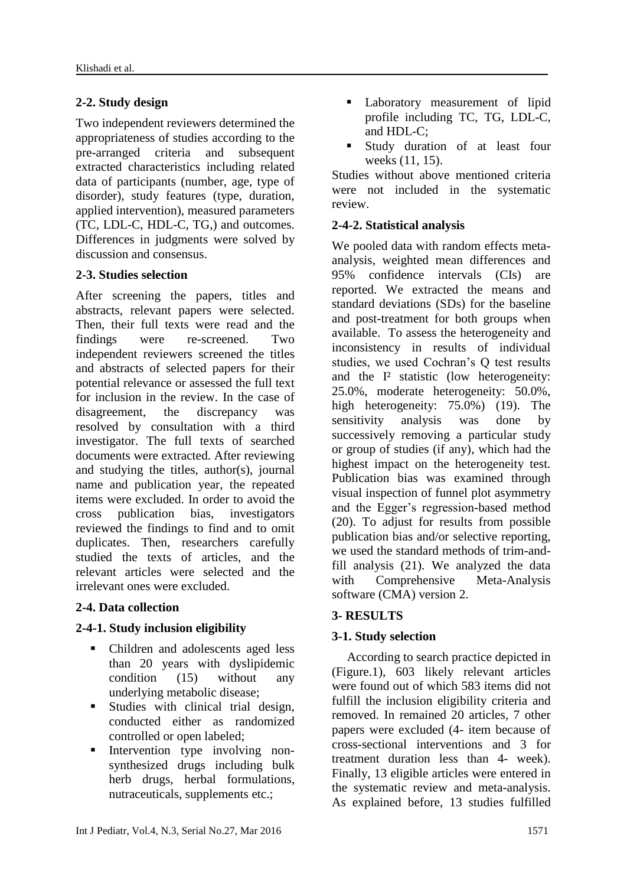# **2-2. Study design**

Two independent reviewers determined the appropriateness of studies according to the pre-arranged criteria and subsequent extracted characteristics including related data of participants (number, age, type of disorder), study features (type, duration, applied intervention), measured parameters (TC, LDL-C, HDL-C, TG,) and outcomes. Differences in judgments were solved by discussion and consensus.

# **2-3. Studies selection**

After screening the papers, titles and abstracts, relevant papers were selected. Then, their full texts were read and the findings were re-screened. Two independent reviewers screened the titles and abstracts of selected papers for their potential relevance or assessed the full text for inclusion in the review. In the case of disagreement, the discrepancy was resolved by consultation with a third investigator. The full texts of searched documents were extracted. After reviewing and studying the titles, author(s), journal name and publication year, the repeated items were excluded. In order to avoid the cross publication bias, investigators reviewed the findings to find and to omit duplicates. Then, researchers carefully studied the texts of articles, and the relevant articles were selected and the irrelevant ones were excluded.

# **2-4. Data collection**

# **2-4-1. Study inclusion eligibility**

- Children and adolescents aged less than 20 years with dyslipidemic condition (15) without any underlying metabolic disease;
- Studies with clinical trial design, conducted either as randomized controlled or open labeled;
- Intervention type involving nonsynthesized drugs including bulk herb drugs, herbal formulations, nutraceuticals, supplements etc.;
- **Laboratory** measurement of lipid profile including TC, TG, LDL-C, and HDL-C;
- **Study duration of at least four** weeks [\(11,](#page-7-4) [15\)](#page-7-8).

Studies without above mentioned criteria were not included in the systematic review.

# **2-4-2. Statistical analysis**

We pooled data with random effects metaanalysis, weighted mean differences and 95% confidence intervals (CIs) are reported. We extracted the means and standard deviations (SDs) for the baseline and post-treatment for both groups when available. To assess the heterogeneity and inconsistency in results of individual studies, we used Cochran's Q test results and the I² statistic (low heterogeneity: 25.0%, moderate heterogeneity: 50.0%, high heterogeneity: 75.0%) (19). The sensitivity analysis was done by successively removing a particular study or group of studies (if any), which had the highest impact on the heterogeneity test. Publication bias was examined through visual inspection of funnel plot asymmetry and the Egger's regression-based method (20). To adjust for results from possible publication bias and/or selective reporting, we used the standard methods of trim-andfill analysis (21). We analyzed the data with Comprehensive Meta-Analysis software (CMA) version 2.

# **3- RESULTS**

# **3-1. Study selection**

According to search practice depicted in (Figure.1), 603 likely relevant articles were found out of which 583 items did not fulfill the inclusion eligibility criteria and removed. In remained 20 articles, 7 other papers were excluded (4- item because of cross-sectional interventions and 3 for treatment duration less than 4- week). Finally, 13 eligible articles were entered in the systematic review and meta-analysis. As explained before, 13 studies fulfilled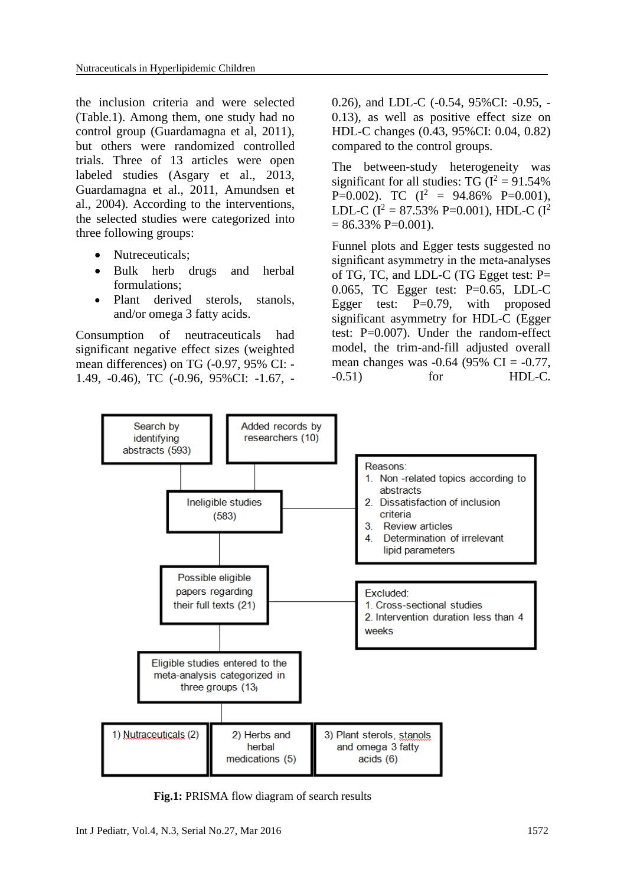the inclusion criteria and were selected (Table.1). Among them, one study had no control group (Guardamagna et al, 2011), but others were randomized controlled trials. Three of 13 articles were open labeled studies (Asgary et al., 2013, Guardamagna et al., 2011, Amundsen et al., 2004). According to the interventions, the selected studies were categorized into three following groups:

- Nutreceuticals;
- Bulk herb drugs and herbal formulations;
- Plant derived sterols, stanols, and/or omega 3 fatty acids.

Consumption of neutraceuticals had significant negative effect sizes (weighted mean differences) on TG (-0.97, 95% CI: - 1.49, -0.46), TC (-0.96, 95%CI: -1.67, -

0.26), and LDL-C (-0.54, 95%CI: -0.95, - 0.13), as well as positive effect size on HDL-C changes (0.43, 95%CI: 0.04, 0.82) compared to the control groups.

The between-study heterogeneity was significant for all studies: TG  $(I^2 = 91.54\%$ P=0.002). TC  $(I^2 = 94.86\% \text{ P=0.001}),$ LDL-C ( $I^2 = 87.53\%$  P=0.001), HDL-C ( $I^2$  $= 86.33\% \text{ P=0.001}.$ 

Funnel plots and Egger tests suggested no significant asymmetry in the meta-analyses of TG, TC, and LDL-C (TG Egget test: P= 0.065, TC Egger test: P=0.65, LDL-C Egger test:  $P=0.79$ , with proposed significant asymmetry for HDL-C (Egger test: P=0.007). Under the random-effect model, the trim-and-fill adjusted overall mean changes was  $-0.64$  (95% CI =  $-0.77$ , -0.51) for HDL-C.



 **Fig.1:** PRISMA flow diagram of search results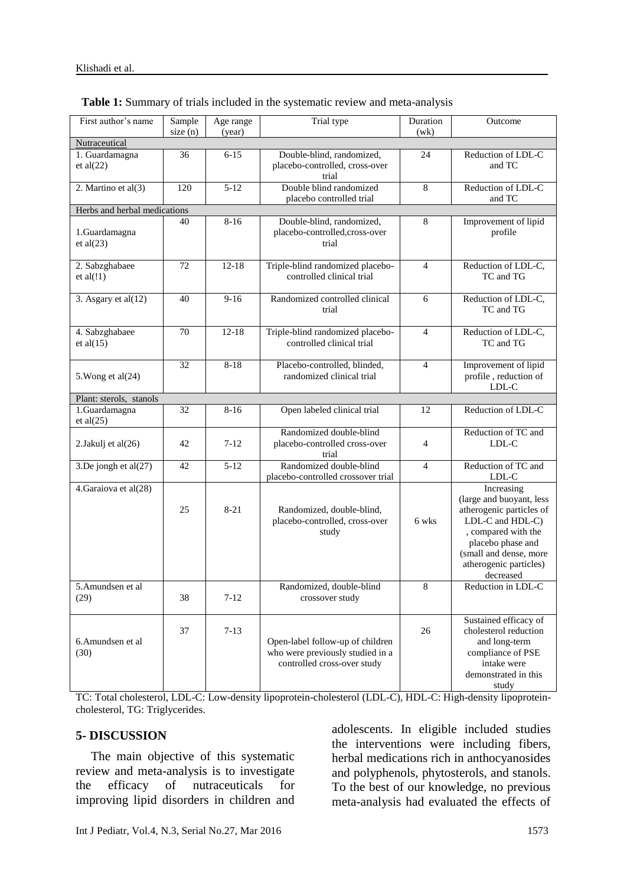| First author's name            | Sample<br>size(n) | Age range<br>(year) | Trial type                                                                                          | Duration<br>(wk) | Outcome                                                                                                                                                                                             |  |  |
|--------------------------------|-------------------|---------------------|-----------------------------------------------------------------------------------------------------|------------------|-----------------------------------------------------------------------------------------------------------------------------------------------------------------------------------------------------|--|--|
| Nutraceutical                  |                   |                     |                                                                                                     |                  |                                                                                                                                                                                                     |  |  |
| 1. Guardamagna<br>et al $(22)$ | 36                | $6 - 15$            | Double-blind, randomized,<br>placebo-controlled, cross-over<br>trial                                | 24               | Reduction of LDL-C<br>and TC                                                                                                                                                                        |  |  |
| 2. Martino et al(3)            | 120               | $5-12$              | Double blind randomized<br>placebo controlled trial                                                 | 8                | Reduction of LDL-C<br>and TC                                                                                                                                                                        |  |  |
| Herbs and herbal medications   |                   |                     |                                                                                                     |                  |                                                                                                                                                                                                     |  |  |
| 1.Guardamagna<br>et al $(23)$  | 40                | $8-16$              | Double-blind, randomized,<br>placebo-controlled, cross-over<br>trial                                | 8                | Improvement of lipid<br>profile                                                                                                                                                                     |  |  |
| 2. Sabzghabaee<br>et al $(!1)$ | 72                | $12 - 18$           | Triple-blind randomized placebo-<br>controlled clinical trial                                       | $\overline{4}$   | Reduction of LDL-C,<br>TC and TG                                                                                                                                                                    |  |  |
| 3. Asgary et al $(12)$         | 40                | $9-16$              | Randomized controlled clinical<br>trial                                                             | 6                | Reduction of LDL-C,<br>TC and TG                                                                                                                                                                    |  |  |
| 4. Sabzghabaee<br>et al $(15)$ | 70                | $12 - 18$           | Triple-blind randomized placebo-<br>controlled clinical trial                                       | $\overline{4}$   | Reduction of LDL-C,<br>TC and TG                                                                                                                                                                    |  |  |
| 5. Wong et al(24)              | 32                | $8 - 18$            | Placebo-controlled, blinded,<br>randomized clinical trial                                           | $\overline{4}$   | Improvement of lipid<br>profile, reduction of<br>LDL-C                                                                                                                                              |  |  |
| Plant: sterols, stanols        |                   |                     |                                                                                                     |                  |                                                                                                                                                                                                     |  |  |
| 1.Guardamagna<br>et al $(25)$  | 32                | $8 - 16$            | Open labeled clinical trial                                                                         | 12               | Reduction of LDL-C                                                                                                                                                                                  |  |  |
| 2.Jakulj et al(26)             | 42                | $7 - 12$            | Randomized double-blind<br>placebo-controlled cross-over<br>trial                                   | $\overline{4}$   | Reduction of TC and<br>LDL-C                                                                                                                                                                        |  |  |
| 3.De jongh et al(27)           | 42                | $5 - 12$            | Randomized double-blind<br>placebo-controlled crossover trial                                       | $\overline{4}$   | Reduction of TC and<br>LDL-C                                                                                                                                                                        |  |  |
| 4. Garaiova et al(28)          | 25                | $8 - 21$            | Randomized, double-blind,<br>placebo-controlled, cross-over<br>study                                | 6 wks            | Increasing<br>(large and buoyant, less<br>atherogenic particles of<br>LDL-C and HDL-C)<br>, compared with the<br>placebo phase and<br>(small and dense, more<br>atherogenic particles)<br>decreased |  |  |
| 5.Amundsen et al<br>(29)       | 38                | $7 - 12$            | Randomized, double-blind<br>crossover study                                                         | 8                | Reduction in LDL-C                                                                                                                                                                                  |  |  |
| 6.Amundsen et al<br>(30)       | 37                | $7 - 13$            | Open-label follow-up of children<br>who were previously studied in a<br>controlled cross-over study | 26               | Sustained efficacy of<br>cholesterol reduction<br>and long-term<br>compliance of PSE<br>intake were<br>demonstrated in this<br>study                                                                |  |  |

|  | <b>Table 1:</b> Summary of trials included in the systematic review and meta-analysis |  |
|--|---------------------------------------------------------------------------------------|--|
|  |                                                                                       |  |

TC: Total cholesterol, LDL-C: Low-density lipoprotein-cholesterol (LDL-C), HDL-C: High-density lipoproteincholesterol, TG: Triglycerides.

## **5- DISCUSSION**

The main objective of this systematic review and meta-analysis is to investigate the efficacy of nutraceuticals for improving lipid disorders in children and adolescents. In eligible included studies the interventions were including fibers, herbal medications rich in anthocyanosides and polyphenols, phytosterols, and stanols. To the best of our knowledge, no previous meta-analysis had evaluated the effects of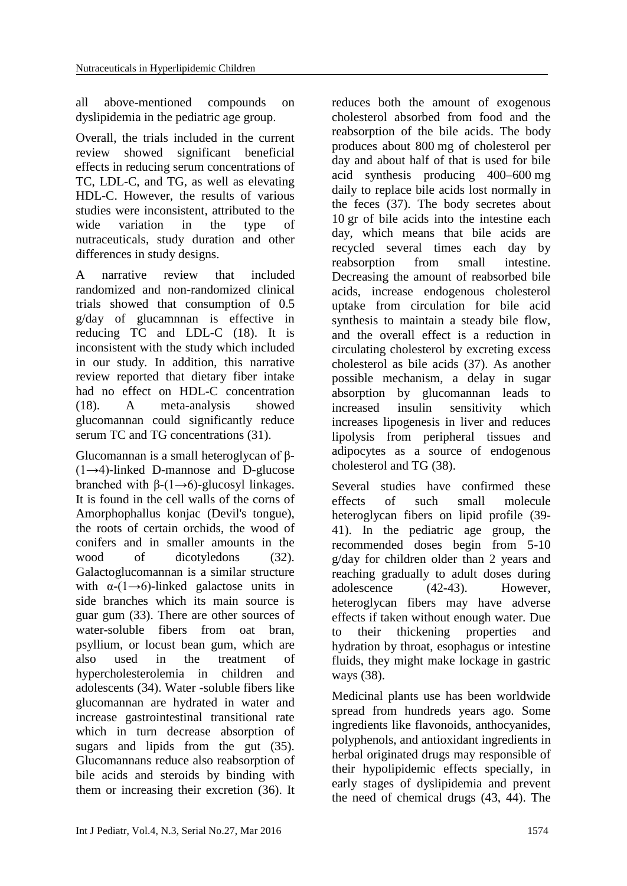all above-mentioned compounds on dyslipidemia in the pediatric age group.

Overall, the trials included in the current review showed significant beneficial effects in reducing serum concentrations of TC, LDL-C, and TG, as well as elevating HDL-C. However, the results of various studies were inconsistent, attributed to the wide variation in the type of nutraceuticals, study duration and other differences in study designs.

A narrative review that included randomized and non-randomized clinical trials showed that consumption of 0.5 g/day of glucamnnan is effective in reducing TC and LDL-C (18). It is inconsistent with the study which included in our study. In addition, this narrative review reported that dietary fiber intake had no effect on HDL-C concentration (18). A meta-analysis showed glucomannan could significantly reduce serum TC and TG concentrations (31).

Glucomannan is a small heteroglycan of β-  $(1\rightarrow 4)$ -linked [D-mannose](https://en.wikipedia.org/wiki/Mannose) and [D-glucose](https://en.wikipedia.org/wiki/Glucose) branched with β-(1→6)-glucosyl linkages. It is found in the [cell walls](https://en.wikipedia.org/wiki/Cell_wall#Plant_cell_walls) of the corns of Amorphophallus konjac (Devil's tongue), the roots of certain orchids, the wood of [conifers](https://en.wikipedia.org/wiki/Conifer) and in smaller amounts in the wood of [dicotyledons](https://en.wikipedia.org/wiki/Dicotyledon) (32). [Galactoglucomannan](https://en.wikipedia.org/wiki/Galactoglucomannan) is a similar structure with  $\alpha$ -(1→6)-linked [galactose](https://en.wikipedia.org/wiki/Galactose) units in side branches which its main source is guar gum (33). There are other sources of water-soluble fibers from oat bran, psyllium, or locust bean gum, which are also used in the treatment of hypercholesterolemia in children and adolescents (34). Water -soluble fibers like glucomannan are hydrated in water and increase gastrointestinal transitional rate which in turn decrease absorption of sugars and lipids from the gut (35). Glucomannans reduce also reabsorption of bile acids and steroids by binding with them or increasing their excretion (36). It

reduces both the amount of exogenous [cholesterol](https://en.wikipedia.org/wiki/Cholesterol) absorbed from food and the reabsorption of the bile acids. The body produces about 800 mg of cholesterol per day and about half of that is used for bile acid synthesis producing 400–600 mg daily to replace bile acids lost normally in the feces (37). The body secretes about 10 gr of bile acids into the intestine each day, which means that bile acids are recycled several times each day by reabsorption from small intestine. Decreasing the amount of reabsorbed bile acids, increase endogenous cholesterol uptake from circulation for bile acid synthesis to maintain a steady bile flow, and the overall effect is a reduction in circulating cholesterol by excreting excess cholesterol as bile acids (37). As another possible mechanism, a delay in sugar absorption by glucomannan leads to increased insulin sensitivity which increases lipogenesis in liver and reduces lipolysis from peripheral tissues and adipocytes as a source of endogenous cholesterol and TG (38).

Several studies have confirmed these effects of such small molecule heteroglycan fibers on lipid profile (39- 41). In the pediatric age group, the recommended doses begin from 5-10 g/day for children older than 2 years and reaching gradually to adult doses during adolescence (42-43). However, heteroglycan fibers may have adverse effects if taken without enough water. Due to their thickening properties and hydration by throat, esophagus or intestine fluids, they might make lockage in gastric ways (38).

Medicinal plants use has been worldwide spread from hundreds years ago. Some ingredients like flavonoids, anthocyanides, polyphenols, and antioxidant ingredients in herbal originated drugs may responsible of their hypolipidemic effects specially, in early stages of dyslipidemia and prevent the need of chemical drugs (43, 44). The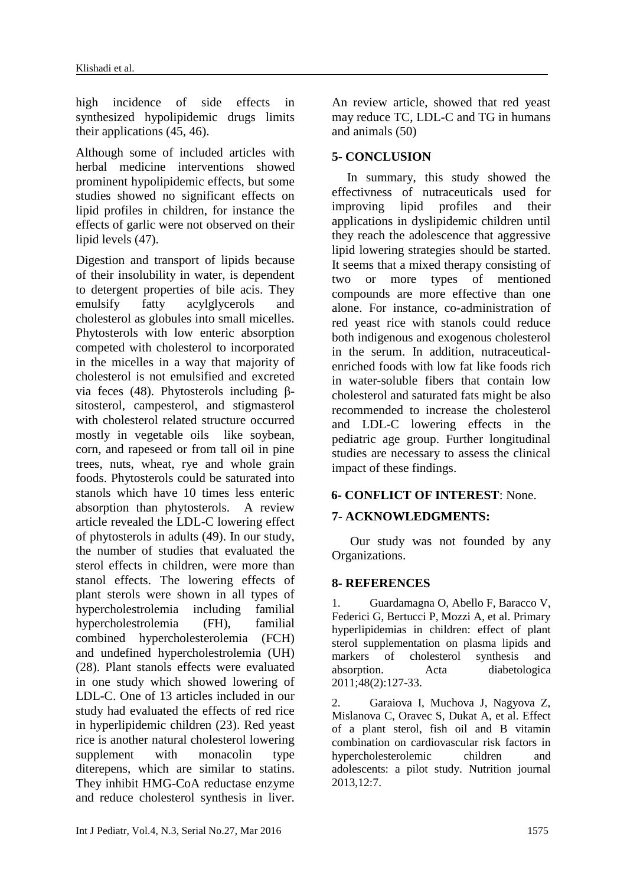high incidence of side effects in synthesized hypolipidemic drugs limits their applications (45, 46).

Although some of included articles with herbal medicine interventions showed prominent hypolipidemic effects, but some studies showed no significant effects on lipid profiles in children, for instance the effects of garlic were not observed on their lipid levels (47).

Digestion and transport of lipids because of their insolubility in water, is dependent to detergent properties of bile acis. They emulsify fatty acylglycerols and cholesterol as globules into small micelles. Phytosterols with low enteric absorption competed with cholesterol to incorporated in the micelles in a way that majority of cholesterol is not emulsified and excreted via [feces](https://en.wikipedia.org/wiki/Feces) (48). Phytosterols including [β](https://en.wikipedia.org/wiki/%CE%92-sitosterol)[sitosterol,](https://en.wikipedia.org/wiki/%CE%92-sitosterol) [campesterol,](https://en.wikipedia.org/wiki/Campesterol) and stigmasterol with cholesterol related structure occurred mostly in [vegetable oils](https://en.wikipedia.org/wiki/Vegetable_oil) like soybean, corn, and rapeseed or from tall oil in pine trees, nuts, wheat, rye and whole grain foods. Phytosterols could be saturated into stanols which have 10 times less enteric absorption than phytosterols. A review article revealed the LDL-C lowering effect of phytosterols in adults (49). In our study, the number of studies that evaluated the sterol effects in children, were more than stanol effects. The lowering effects of plant sterols were shown in all types of hypercholestrolemia including familial hypercholestrolemia (FH), familial combined hypercholesterolemia (FCH) and undefined hypercholestrolemia (UH) (28). Plant stanols effects were evaluated in one study which showed lowering of LDL-C. One of 13 articles included in our study had evaluated the effects of red rice in hyperlipidemic children (23). Red yeast rice is another natural cholesterol lowering supplement with monacolin type diterepens, which are similar to statins. They inhibit HMG-CoA reductase enzyme and reduce cholesterol synthesis in liver.

absorption. Acta diabetologica

2. Garaiova I, Muchova J, Nagyova Z, Mislanova C, Oravec S, Dukat A, et al. Effect of a plant sterol, fish oil and B vitamin combination on cardiovascular risk factors in hypercholesterolemic children and adolescents: a pilot study. Nutrition journal 2013,12:7.

An review article, showed that red yeast may reduce TC, LDL-C and TG in humans and animals (50)

### **5- CONCLUSION**

In summary, this study showed the effectivness of nutraceuticals used for improving lipid profiles and their applications in dyslipidemic children until they reach the adolescence that aggressive lipid lowering strategies should be started. It seems that a mixed therapy consisting of two or more types of mentioned compounds are more effective than one alone. For instance, co-administration of red yeast rice with stanols could reduce both indigenous and exogenous cholesterol in the serum. In addition, nutraceuticalenriched foods with low fat like foods rich in water-soluble fibers that contain low cholesterol and saturated fats might be also recommended to increase the cholesterol and LDL-C lowering effects in the pediatric age group. Further longitudinal studies are necessary to assess the clinical impact of these findings.

## **6- CONFLICT OF INTEREST**: None.

## **7- ACKNOWLEDGMENTS:**

Our study was not founded by any Organizations.

<span id="page-6-0"></span>1. Guardamagna O, Abello F, Baracco V, Federici G, Bertucci P, Mozzi A, et al. Primary hyperlipidemias in children: effect of plant sterol supplementation on plasma lipids and markers of cholesterol synthesis and

### **8- REFERENCES**

2011;48(2):127-33.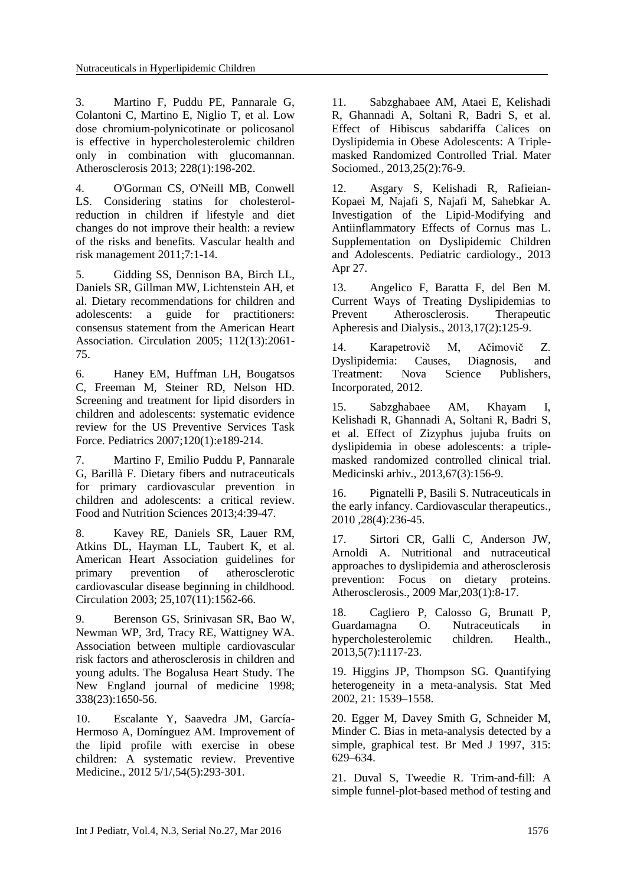<span id="page-7-0"></span>3. Martino F, Puddu PE, Pannarale G, Colantoni C, Martino E, Niglio T, et al. Low dose chromium-polynicotinate or policosanol is effective in hypercholesterolemic children only in combination with glucomannan. Atherosclerosis 2013; 228(1):198-202.

<span id="page-7-6"></span>4. O'Gorman CS, O'Neill MB, Conwell LS. Considering statins for cholesterolreduction in children if lifestyle and diet changes do not improve their health: a review of the risks and benefits. Vascular health and risk management 2011;7:1-14.

<span id="page-7-1"></span>5. Gidding SS, Dennison BA, Birch LL, Daniels SR, Gillman MW, Lichtenstein AH, et al. Dietary recommendations for children and adolescents: a guide for practitioners: consensus statement from the American Heart Association. Circulation 2005; 112(13):2061- 75.

<span id="page-7-3"></span>6. Haney EM, Huffman LH, Bougatsos C, Freeman M, Steiner RD, Nelson HD. Screening and treatment for lipid disorders in children and adolescents: systematic evidence review for the US Preventive Services Task Force. Pediatrics 2007;120(1):e189-214.

<span id="page-7-2"></span>7. Martino F, Emilio Puddu P, Pannarale G, Barillà F. Dietary fibers and nutraceuticals for primary cardiovascular prevention in children and adolescents: a critical review. Food and Nutrition Sciences 2013;4:39-47.

8. Kavey RE, Daniels SR, Lauer RM, Atkins DL, Hayman LL, Taubert K, et al. American Heart Association guidelines for primary prevention of atherosclerotic cardiovascular disease beginning in childhood. Circulation 2003; 25,107(11):1562-66.

9. Berenson GS, Srinivasan SR, Bao W, Newman WP, 3rd, Tracy RE, Wattigney WA. Association between multiple cardiovascular risk factors and atherosclerosis in children and young adults. The Bogalusa Heart Study. The New England journal of medicine 1998; 338(23):1650-56.

10. Escalante Y, Saavedra JM, García-Hermoso A, Domínguez AM. Improvement of the lipid profile with exercise in obese children: A systematic review. Preventive Medicine., 2012 5/1/,54(5):293-301.

<span id="page-7-4"></span>11. Sabzghabaee AM, Ataei E, Kelishadi R, Ghannadi A, Soltani R, Badri S, et al. Effect of Hibiscus sabdariffa Calices on Dyslipidemia in Obese Adolescents: A Triplemasked Randomized Controlled Trial. Mater Sociomed., 2013, 25(2): 76-9.

<span id="page-7-5"></span>12. Asgary S, Kelishadi R, Rafieian-Kopaei M, Najafi S, Najafi M, Sahebkar A. Investigation of the Lipid-Modifying and Antiinflammatory Effects of Cornus mas L. Supplementation on Dyslipidemic Children and Adolescents. Pediatric cardiology., 2013 Apr 27.

13. Angelico F, Baratta F, del Ben M. Current Ways of Treating Dyslipidemias to Prevent Atherosclerosis. Therapeutic Apheresis and Dialysis., 2013,17(2):125-9.

14. Karapetrovič M, Ačimovič Z. Dyslipidemia: Causes, Diagnosis, and Treatment: Nova Science Publishers, Incorporated, 2012.

<span id="page-7-8"></span>15. Sabzghabaee AM, Khayam I, Kelishadi R, Ghannadi A, Soltani R, Badri S, et al. Effect of Zizyphus jujuba fruits on dyslipidemia in obese adolescents: a triplemasked randomized controlled clinical trial. Medicinski arhiv., 2013,67(3):156-9.

<span id="page-7-7"></span>16. Pignatelli P, Basili S. Nutraceuticals in the early infancy. Cardiovascular therapeutics., 2010 ,28(4):236-45.

17. Sirtori CR, Galli C, Anderson JW, Arnoldi A. Nutritional and nutraceutical approaches to dyslipidemia and atherosclerosis prevention: Focus on dietary proteins. Atherosclerosis., 2009 Mar,203(1):8-17.

18. Cagliero P, Calosso G, Brunatt P, Guardamagna O. Nutraceuticals in hypercholesterolemic children. Health., 2013,5(7):1117-23.

19. Higgins JP, Thompson SG. Quantifying heterogeneity in a meta-analysis. Stat Med 2002, 21: 1539–1558.

20. Egger M, Davey Smith G, Schneider M, Minder C. Bias in meta-analysis detected by a simple, graphical test. Br Med J 1997, 315: 629–634.

21. Duval S, Tweedie R. Trim-and-fill: A simple funnel-plot-based method of testing and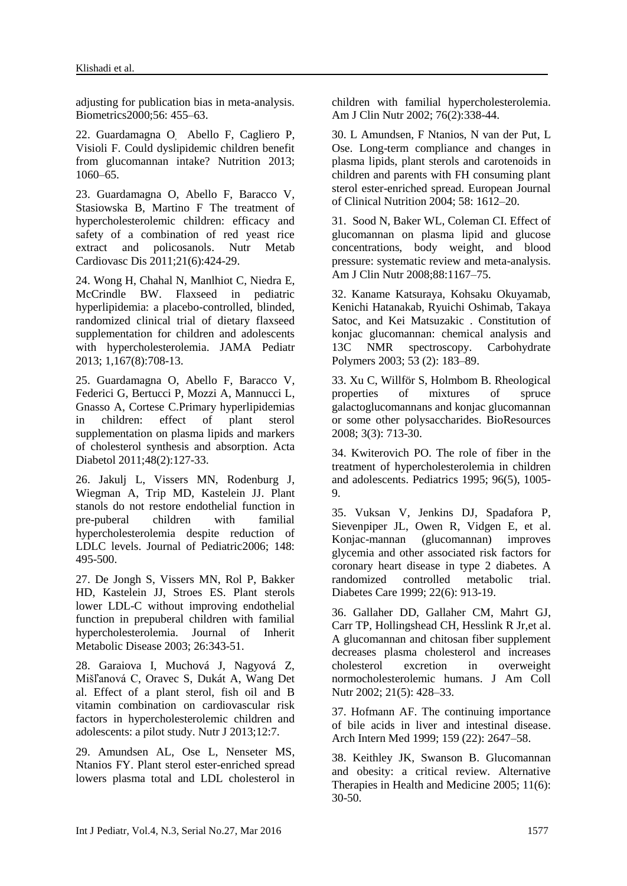adjusting for publication bias in meta-analysis. Biometrics2000;56: 455–63.

22. [Guardamagna O](http://www.ncbi.nlm.nih.gov/pubmed/?term=Guardamagna%20O%5BAuthor%5D&cauthor=true&cauthor_uid=23759268), [Abello F,](http://www.ncbi.nlm.nih.gov/pubmed/?term=Abello%20F%5BAuthor%5D&cauthor=true&cauthor_uid=23759268) [Cagliero P,](http://www.ncbi.nlm.nih.gov/pubmed/?term=Cagliero%20P%5BAuthor%5D&cauthor=true&cauthor_uid=23759268) [Visioli F.](http://www.ncbi.nlm.nih.gov/pubmed/?term=Visioli%20F%5BAuthor%5D&cauthor=true&cauthor_uid=23759268) Could dyslipidemic children benefit from glucomannan intake? Nutrition 2013; 1060–65.

23. Guardamagna O, Abello F, Baracco V, Stasiowska B, Martino F [The treatment of](http://www.ncbi.nlm.nih.gov/pubmed/20153154)  [hypercholesterolemic children: efficacy and](http://www.ncbi.nlm.nih.gov/pubmed/20153154)  [safety of a combination of red yeast rice](http://www.ncbi.nlm.nih.gov/pubmed/20153154)  [extract and policosanols.](http://www.ncbi.nlm.nih.gov/pubmed/20153154) Nutr Metab Cardiovasc Dis 2011;21(6):424-29.

24. [Wong H,](http://www.ncbi.nlm.nih.gov/pubmed/?term=Wong%20H%5BAuthor%5D&cauthor=true&cauthor_uid=23733031) [Chahal N,](http://www.ncbi.nlm.nih.gov/pubmed/?term=Chahal%20N%5BAuthor%5D&cauthor=true&cauthor_uid=23733031) [Manlhiot C,](http://www.ncbi.nlm.nih.gov/pubmed/?term=Manlhiot%20C%5BAuthor%5D&cauthor=true&cauthor_uid=23733031) [Niedra E,](http://www.ncbi.nlm.nih.gov/pubmed/?term=Niedra%20E%5BAuthor%5D&cauthor=true&cauthor_uid=23733031) [McCrindle BW.](http://www.ncbi.nlm.nih.gov/pubmed/?term=McCrindle%20BW%5BAuthor%5D&cauthor=true&cauthor_uid=23733031) Flaxseed in pediatric hyperlipidemia: a placebo-controlled, blinded, randomized clinical trial of dietary flaxseed supplementation for children and adolescents with hypercholesterolemia. [JAMA Pediatr](http://www.ncbi.nlm.nih.gov/pubmed/?term=Flaxseed+in+Pediatric+Hyperlipidemia) 2013; 1,167(8):708-13.

25. [Guardamagna O,](http://www.ncbi.nlm.nih.gov/pubmed/?term=Guardamagna%20O%5BAuthor%5D&cauthor=true&cauthor_uid=21057823) [Abello F,](http://www.ncbi.nlm.nih.gov/pubmed/?term=Abello%20F%5BAuthor%5D&cauthor=true&cauthor_uid=21057823) [Baracco V,](http://www.ncbi.nlm.nih.gov/pubmed/?term=Baracco%20V%5BAuthor%5D&cauthor=true&cauthor_uid=21057823) [Federici G,](http://www.ncbi.nlm.nih.gov/pubmed/?term=Federici%20G%5BAuthor%5D&cauthor=true&cauthor_uid=21057823) [Bertucci P,](http://www.ncbi.nlm.nih.gov/pubmed/?term=Bertucci%20P%5BAuthor%5D&cauthor=true&cauthor_uid=21057823) [Mozzi A,](http://www.ncbi.nlm.nih.gov/pubmed/?term=Mozzi%20A%5BAuthor%5D&cauthor=true&cauthor_uid=21057823) [Mannucci L,](http://www.ncbi.nlm.nih.gov/pubmed/?term=Mannucci%20L%5BAuthor%5D&cauthor=true&cauthor_uid=21057823) [Gnasso A,](http://www.ncbi.nlm.nih.gov/pubmed/?term=Gnasso%20A%5BAuthor%5D&cauthor=true&cauthor_uid=21057823) [Cortese C.](http://www.ncbi.nlm.nih.gov/pubmed/?term=Cortese%20C%5BAuthor%5D&cauthor=true&cauthor_uid=21057823)Primary hyperlipidemias in children: effect of plant sterol supplementation on plasma lipids and markers of cholesterol synthesis and absorption. [Acta](http://www.ncbi.nlm.nih.gov/pubmed/?term=Primary+hyperlipidemias+in+children%3A+effect+of+plant+sterol+supplementation)  [Diabetol](http://www.ncbi.nlm.nih.gov/pubmed/?term=Primary+hyperlipidemias+in+children%3A+effect+of+plant+sterol+supplementation) 2011;48(2):127-33.

26. Jakulj L, Vissers MN, Rodenburg J, Wiegman A, Trip MD, Kastelein JJ. Plant stanols do not restore endothelial function in pre-puberal children with familial hypercholesterolemia despite reduction of LDLC levels. Journal of Pediatric2006; 148: 495-500.

27. De Jongh S, Vissers MN, Rol P, Bakker HD, Kastelein JJ, Stroes ES. Plant sterols lower LDL-C without improving endothelial function in prepuberal children with familial hypercholesterolemia. Journal of Inherit Metabolic Disease 2003; 26:343-51.

28. [Garaiova I,](http://www.ncbi.nlm.nih.gov/pubmed/?term=Garaiova%20I%5BAuthor%5D&cauthor=true&cauthor_uid=23297818) [Muchová J,](http://www.ncbi.nlm.nih.gov/pubmed/?term=Muchov%C3%A1%20J%5BAuthor%5D&cauthor=true&cauthor_uid=23297818) [Nagyová Z,](http://www.ncbi.nlm.nih.gov/pubmed/?term=Nagyov%C3%A1%20Z%5BAuthor%5D&cauthor=true&cauthor_uid=23297818) [Mišľanová C,](http://www.ncbi.nlm.nih.gov/pubmed/?term=Mi%C5%A1%C4%BEanov%C3%A1%20C%5BAuthor%5D&cauthor=true&cauthor_uid=23297818) [Oravec S,](http://www.ncbi.nlm.nih.gov/pubmed/?term=Oravec%20S%5BAuthor%5D&cauthor=true&cauthor_uid=23297818) [Dukát A,](http://www.ncbi.nlm.nih.gov/pubmed/?term=Duk%C3%A1t%20A%5BAuthor%5D&cauthor=true&cauthor_uid=23297818) [Wang De](http://www.ncbi.nlm.nih.gov/pubmed/?term=Wang%20D%5BAuthor%5D&cauthor=true&cauthor_uid=23297818)t al. Effect of a plant sterol, fish oil and B vitamin combination on cardiovascular risk factors in hypercholesterolemic children and adolescents: a pilot study. [Nutr J](http://www.ncbi.nlm.nih.gov/pubmed/23297818) 2013;12:7.

29. [Amundsen AL,](http://www.ncbi.nlm.nih.gov/pubmed/?term=Amundsen%20AL%5BAuthor%5D&cauthor=true&cauthor_uid=12145004) [Ose L,](http://www.ncbi.nlm.nih.gov/pubmed/?term=Ose%20L%5BAuthor%5D&cauthor=true&cauthor_uid=12145004) [Nenseter MS,](http://www.ncbi.nlm.nih.gov/pubmed/?term=Nenseter%20MS%5BAuthor%5D&cauthor=true&cauthor_uid=12145004) [Ntanios FY.](http://www.ncbi.nlm.nih.gov/pubmed/?term=Ntanios%20FY%5BAuthor%5D&cauthor=true&cauthor_uid=12145004) Plant sterol ester-enriched spread lowers plasma total and LDL cholesterol in children with familial hypercholesterolemia. [Am J Clin Nutr](http://www.ncbi.nlm.nih.gov/pubmed/?term=Plant+sterol+ester%E2%80%93enriched+spread+lowers+plasma+total) 2002; 76(2):338-44.

30. L Amundsen, F Ntanios, N van der Put, L Ose. Long-term compliance and changes in plasma lipids, plant sterols and carotenoids in children and parents with FH consuming plant sterol ester-enriched spread. European Journal of Clinical Nutrition 2004; 58: 1612–20.

31. Sood N, Baker WL, Coleman CI. Effect of glucomannan on plasma lipid and glucose concentrations, body weight, and blood pressure: systematic review and meta-analysis. Am J Clin Nutr 2008;88:1167–75.

32. Kaname Katsuraya, Kohsaku Okuyamab, Kenichi Hatanakab, Ryuichi Oshimab, Takaya Satoc, and Kei Matsuzakic . Constitution of konjac glucomannan: chemical analysis and 13C NMR spectroscopy. Carbohydrate Polymers 2003; 53 (2): 183–89.

33. Xu C, Willför S, Holmbom B. Rheological properties of mixtures of spruce galactoglucomannans and konjac glucomannan or some other polysaccharides. BioResources 2008; 3(3): 713-30.

34. Kwiterovich PO. The role of fiber in the treatment of hypercholesterolemia in children and adolescents. Pediatrics 1995; 96(5), 1005- 9.

35. [Vuksan V,](http://www.ncbi.nlm.nih.gov/pubmed/?term=Vuksan%20V%5BAuthor%5D&cauthor=true&cauthor_uid=10372241) [Jenkins DJ,](http://www.ncbi.nlm.nih.gov/pubmed/?term=Jenkins%20DJ%5BAuthor%5D&cauthor=true&cauthor_uid=10372241) [Spadafora P,](http://www.ncbi.nlm.nih.gov/pubmed/?term=Spadafora%20P%5BAuthor%5D&cauthor=true&cauthor_uid=10372241) [Sievenpiper JL,](http://www.ncbi.nlm.nih.gov/pubmed/?term=Sievenpiper%20JL%5BAuthor%5D&cauthor=true&cauthor_uid=10372241) [Owen R,](http://www.ncbi.nlm.nih.gov/pubmed/?term=Owen%20R%5BAuthor%5D&cauthor=true&cauthor_uid=10372241) [Vidgen E,](http://www.ncbi.nlm.nih.gov/pubmed/?term=Vidgen%20E%5BAuthor%5D&cauthor=true&cauthor_uid=10372241) et al. Konjac-mannan (glucomannan) improves glycemia and other associated risk factors for coronary heart disease in type 2 diabetes. A randomized controlled metabolic trial. Diabetes Care 1999; 22(6): 913-19.

36. [Gallaher DD,](http://www.ncbi.nlm.nih.gov/pubmed/?term=Gallaher%20DD%5BAuthor%5D&cauthor=true&cauthor_uid=12356785) [Gallaher CM,](http://www.ncbi.nlm.nih.gov/pubmed/?term=Gallaher%20CM%5BAuthor%5D&cauthor=true&cauthor_uid=12356785) [Mahrt GJ,](http://www.ncbi.nlm.nih.gov/pubmed/?term=Mahrt%20GJ%5BAuthor%5D&cauthor=true&cauthor_uid=12356785) [Carr TP,](http://www.ncbi.nlm.nih.gov/pubmed/?term=Carr%20TP%5BAuthor%5D&cauthor=true&cauthor_uid=12356785) [Hollingshead CH,](http://www.ncbi.nlm.nih.gov/pubmed/?term=Hollingshead%20CH%5BAuthor%5D&cauthor=true&cauthor_uid=12356785) [Hesslink R Jr,](http://www.ncbi.nlm.nih.gov/pubmed/?term=Hesslink%20R%20Jr%5BAuthor%5D&cauthor=true&cauthor_uid=12356785)et al. A glucomannan and chitosan fiber supplement decreases plasma cholesterol and increases cholesterol excretion in overweight normocholesterolemic humans. J Am Coll Nutr 2002; 21(5): 428–33.

37. Hofmann AF. The continuing importance of bile acids in liver and intestinal disease. Arch Intern Med 1999; 159 (22): 2647–58.

38. Keithley JK, Swanson B. Glucomannan and obesity: a critical review. Alternative Therapies in Health and Medicine 2005; 11(6): 30-50.